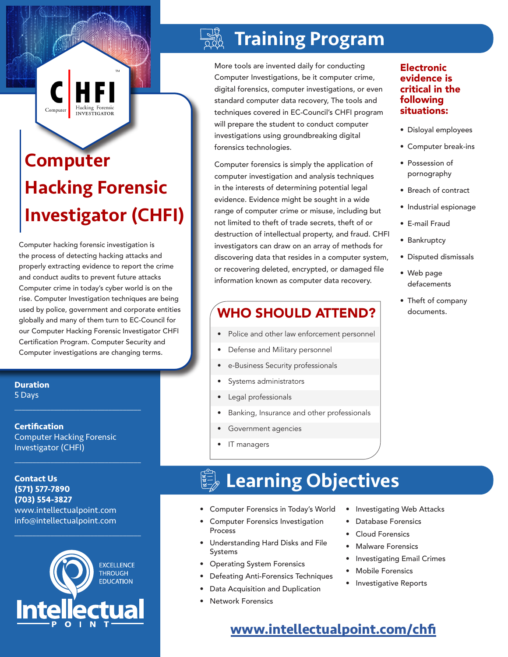Hacking Forensic Computer INVESTIGATOR

# Computer Hacking Forensic Investigator (CHFI)

Computer hacking forensic investigation is the process of detecting hacking attacks and properly extracting evidence to report the crime and conduct audits to prevent future attacks Computer crime in today's cyber world is on the rise. Computer Investigation techniques are being used by police, government and corporate entities globally and many of them turn to EC-Council for our Computer Hacking Forensic Investigator CHFI Certification Program. Computer Security and Computer investigations are changing terms.

**Duration** 5 Days

**Certification** Computer Hacking Forensic Investigator (CHFI)

 $\mathcal{L}_\text{max}$  , and the set of the set of the set of the set of the set of the set of the set of the set of the set of the set of the set of the set of the set of the set of the set of the set of the set of the set of the

 $\mathcal{L}_\text{max}$  , and the set of the set of the set of the set of the set of the set of the set of the set of the set of the set of the set of the set of the set of the set of the set of the set of the set of the set of the

#### **Contact Us (571) 577-7890 (703) 554-3827** www.intellectualpoint.com

info@intellectualpoint.com  $\mathcal{L}_\text{max}$  and  $\mathcal{L}_\text{max}$  and  $\mathcal{L}_\text{max}$  and  $\mathcal{L}_\text{max}$ 



## Training Program

More tools are invented daily for conducting Computer Investigations, be it computer crime, digital forensics, computer investigations, or even standard computer data recovery, The tools and techniques covered in EC-Council's CHFI program will prepare the student to conduct computer investigations using groundbreaking digital forensics technologies.

Computer forensics is simply the application of computer investigation and analysis techniques in the interests of determining potential legal evidence. Evidence might be sought in a wide range of computer crime or misuse, including but not limited to theft of trade secrets, theft of or destruction of intellectual property, and fraud. CHFI investigators can draw on an array of methods for discovering data that resides in a computer system, or recovering deleted, encrypted, or damaged file information known as computer data recovery.

## WHO SHOULD ATTEND?

- Police and other law enforcement personnel
- Defense and Military personnel
- e-Business Security professionals
- Systems administrators
- Legal professionals
- Banking, Insurance and other professionals
- Government agencies
- IT managers

# Learning Objectives

- Computer Forensics in Today's World
- Computer Forensics Investigation Process
- Understanding Hard Disks and File Systems
- Operating System Forensics
- Defeating Anti-Forensics Techniques
- Data Acquisition and Duplication
- Network Forensics
- Investigating Web Attacks
- Database Forensics
- Cloud Forensics
- Malware Forensics
- Investigating Email Crimes
- Mobile Forensics
- Investigative Reports
- **Electronic** evidence is critical in the following situations:
- Disloyal employees
- Computer break-ins
- Possession of pornography
- Breach of contract
- Industrial espionage
- E-mail Fraud
- Bankruptcy
- Disputed dismissals
- Web page defacements
- Theft of company documents.

**www.[intellectualpoint.com/c](https://www.intellectualpoint.com/product/computer-hacking-forensic-investigator/)hfi**